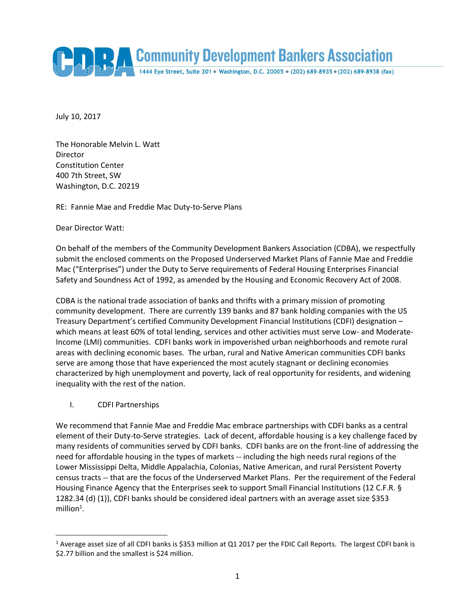Community Development Bankers Association 1444 Eye Street, Suite 201 · Washington, D.C. 20005 · (202) 689-8935 · (202) 689-8938 (fax)

July 10, 2017

The Honorable Melvin L. Watt Director Constitution Center 400 7th Street, SW Washington, D.C. 20219

RE: Fannie Mae and Freddie Mac Duty-to-Serve Plans

Dear Director Watt:

On behalf of the members of the Community Development Bankers Association (CDBA), we respectfully submit the enclosed comments on the Proposed Underserved Market Plans of Fannie Mae and Freddie Mac ("Enterprises") under the Duty to Serve requirements of Federal Housing Enterprises Financial Safety and Soundness Act of 1992, as amended by the Housing and Economic Recovery Act of 2008.

CDBA is the national trade association of banks and thrifts with a primary mission of promoting community development. There are currently 139 banks and 87 bank holding companies with the US Treasury Department's certified Community Development Financial Institutions (CDFI) designation – which means at least 60% of total lending, services and other activities must serve Low- and Moderate-Income (LMI) communities. CDFI banks work in impoverished urban neighborhoods and remote rural areas with declining economic bases. The urban, rural and Native American communities CDFI banks serve are among those that have experienced the most acutely stagnant or declining economies characterized by high unemployment and poverty, lack of real opportunity for residents, and widening inequality with the rest of the nation.

I. CDFI Partnerships

 $\overline{\phantom{a}}$ 

We recommend that Fannie Mae and Freddie Mac embrace partnerships with CDFI banks as a central element of their Duty-to-Serve strategies. Lack of decent, affordable housing is a key challenge faced by many residents of communities served by CDFI banks. CDFI banks are on the front-line of addressing the need for affordable housing in the types of markets -- including the high needs rural regions of the Lower Mississippi Delta, Middle Appalachia, Colonias, Native American, and rural Persistent Poverty census tracts -- that are the focus of the Underserved Market Plans. Per the requirement of the Federal Housing Finance Agency that the Enterprises seek to support Small Financial Institutions (12 C.F.R. § 1282.34 (d) (1)), CDFI banks should be considered ideal partners with an average asset size \$353 million $1$ .

 $1$  Average asset size of all CDFI banks is \$353 million at Q1 2017 per the FDIC Call Reports. The largest CDFI bank is \$2.77 billion and the smallest is \$24 million.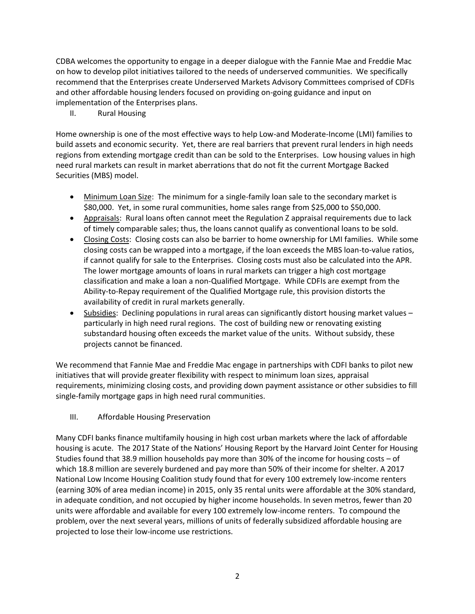CDBA welcomes the opportunity to engage in a deeper dialogue with the Fannie Mae and Freddie Mac on how to develop pilot initiatives tailored to the needs of underserved communities. We specifically recommend that the Enterprises create Underserved Markets Advisory Committees comprised of CDFIs and other affordable housing lenders focused on providing on-going guidance and input on implementation of the Enterprises plans.

II. Rural Housing

Home ownership is one of the most effective ways to help Low-and Moderate-Income (LMI) families to build assets and economic security. Yet, there are real barriers that prevent rural lenders in high needs regions from extending mortgage credit than can be sold to the Enterprises. Low housing values in high need rural markets can result in market aberrations that do not fit the current Mortgage Backed Securities (MBS) model.

- Minimum Loan Size: The minimum for a single-family loan sale to the secondary market is \$80,000. Yet, in some rural communities, home sales range from \$25,000 to \$50,000.
- Appraisals: Rural loans often cannot meet the Regulation Z appraisal requirements due to lack of timely comparable sales; thus, the loans cannot qualify as conventional loans to be sold.
- Closing Costs: Closing costs can also be barrier to home ownership for LMI families. While some closing costs can be wrapped into a mortgage, if the loan exceeds the MBS loan-to-value ratios, if cannot qualify for sale to the Enterprises. Closing costs must also be calculated into the APR. The lower mortgage amounts of loans in rural markets can trigger a high cost mortgage classification and make a loan a non-Qualified Mortgage. While CDFIs are exempt from the Ability-to-Repay requirement of the Qualified Mortgage rule, this provision distorts the availability of credit in rural markets generally.
- Subsidies: Declining populations in rural areas can significantly distort housing market values particularly in high need rural regions. The cost of building new or renovating existing substandard housing often exceeds the market value of the units. Without subsidy, these projects cannot be financed.

We recommend that Fannie Mae and Freddie Mac engage in partnerships with CDFI banks to pilot new initiatives that will provide greater flexibility with respect to minimum loan sizes, appraisal requirements, minimizing closing costs, and providing down payment assistance or other subsidies to fill single-family mortgage gaps in high need rural communities.

III. Affordable Housing Preservation

Many CDFI banks finance multifamily housing in high cost urban markets where the lack of affordable housing is acute. The 2017 State of the Nations' Housing Report by the Harvard Joint Center for Housing Studies found that 38.9 million households pay more than 30% of the income for housing costs – of which 18.8 million are severely burdened and pay more than 50% of their income for shelter. A 2017 National Low Income Housing Coalition study found that for every 100 extremely low-income renters (earning 30% of area median income) in 2015, only 35 rental units were affordable at the 30% standard, in adequate condition, and not occupied by higher income households. In seven metros, fewer than 20 units were affordable and available for every 100 extremely low-income renters. To compound the problem, over the next several years, millions of units of federally subsidized affordable housing are projected to lose their low-income use restrictions.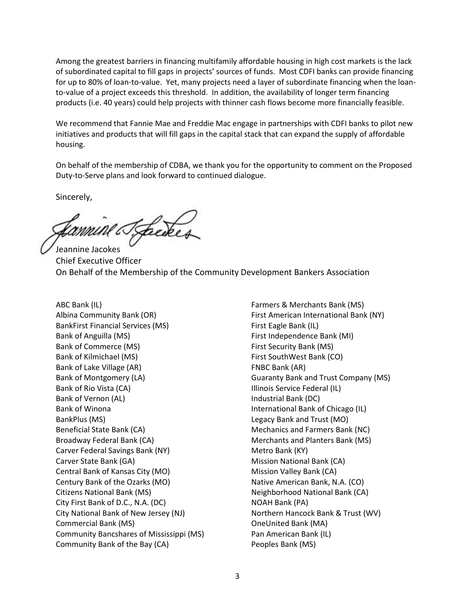Among the greatest barriers in financing multifamily affordable housing in high cost markets is the lack of subordinated capital to fill gaps in projects' sources of funds. Most CDFI banks can provide financing for up to 80% of loan-to-value. Yet, many projects need a layer of subordinate financing when the loanto-value of a project exceeds this threshold. In addition, the availability of longer term financing products (i.e. 40 years) could help projects with thinner cash flows become more financially feasible.

We recommend that Fannie Mae and Freddie Mac engage in partnerships with CDFI banks to pilot new initiatives and products that will fill gaps in the capital stack that can expand the supply of affordable housing.

On behalf of the membership of CDBA, we thank you for the opportunity to comment on the Proposed Duty-to-Serve plans and look forward to continued dialogue.

Sincerely,

fannine Tzbecker Jeannine Jacokes

Chief Executive Officer On Behalf of the Membership of the Community Development Bankers Association

ABC Bank (IL) Albina Community Bank (OR) BankFirst Financial Services (MS) Bank of Anguilla (MS) Bank of Commerce (MS) Bank of Kilmichael (MS) Bank of Lake Village (AR) Bank of Montgomery (LA) Bank of Rio Vista (CA) Bank of Vernon (AL) Bank of Winona BankPlus (MS) Beneficial State Bank (CA) Broadway Federal Bank (CA) Carver Federal Savings Bank (NY) Carver State Bank (GA) Central Bank of Kansas City (MO) Century Bank of the Ozarks (MO) Citizens National Bank (MS) City First Bank of D.C., N.A. (DC) City National Bank of New Jersey (NJ) Commercial Bank (MS) Community Bancshares of Mississippi (MS) Community Bank of the Bay (CA)

Farmers & Merchants Bank (MS) First American International Bank (NY) First Eagle Bank (IL) First Independence Bank (MI) First Security Bank (MS) First SouthWest Bank (CO) FNBC Bank (AR) Guaranty Bank and Trust Company (MS) Illinois Service Federal (IL) Industrial Bank (DC) International Bank of Chicago (IL) Legacy Bank and Trust (MO) Mechanics and Farmers Bank (NC) Merchants and Planters Bank (MS) Metro Bank (KY) Mission National Bank (CA) Mission Valley Bank (CA) Native American Bank, N.A. (CO) Neighborhood National Bank (CA) NOAH Bank (PA) Northern Hancock Bank & Trust (WV) OneUnited Bank (MA) Pan American Bank (IL) Peoples Bank (MS)